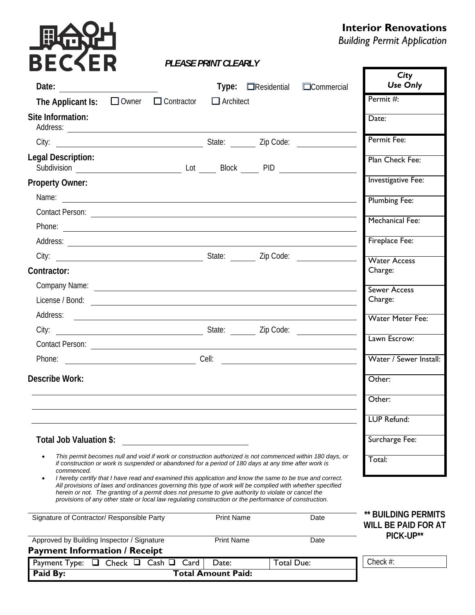# **具命记**

# **Interior Renovations**

*Building Permit Application* 

Г

# *PLEASE PRINT CLEARLY*

|                                                                                                                                                                                                                                                                                                                                                                                                                                         |                                            |                          |                   | City                                              |
|-----------------------------------------------------------------------------------------------------------------------------------------------------------------------------------------------------------------------------------------------------------------------------------------------------------------------------------------------------------------------------------------------------------------------------------------|--------------------------------------------|--------------------------|-------------------|---------------------------------------------------|
|                                                                                                                                                                                                                                                                                                                                                                                                                                         |                                            | $Type: \Box$ Residential | $\Box$ Commercial | <b>Use Only</b>                                   |
| The Applicant Is: $\Box$ Owner $\Box$ Contractor                                                                                                                                                                                                                                                                                                                                                                                        | $\Box$ Architect                           |                          |                   | Permit #:                                         |
| Site Information:<br>Address: <u>example and contract and contract and contract and contract and contract and contract and contract of the set of the set of the set of the set of the set of the set of the set of the set of the set of the set of </u>                                                                                                                                                                               |                                            |                          |                   | Date:                                             |
|                                                                                                                                                                                                                                                                                                                                                                                                                                         |                                            |                          |                   | Permit Fee:                                       |
| Legal Description:                                                                                                                                                                                                                                                                                                                                                                                                                      |                                            |                          |                   | Plan Check Fee:                                   |
| <b>Property Owner:</b>                                                                                                                                                                                                                                                                                                                                                                                                                  |                                            |                          |                   | <b>Investigative Fee:</b>                         |
|                                                                                                                                                                                                                                                                                                                                                                                                                                         |                                            |                          |                   | <b>Plumbing Fee:</b>                              |
|                                                                                                                                                                                                                                                                                                                                                                                                                                         |                                            |                          |                   |                                                   |
|                                                                                                                                                                                                                                                                                                                                                                                                                                         |                                            |                          |                   | <b>Mechanical Fee:</b>                            |
|                                                                                                                                                                                                                                                                                                                                                                                                                                         |                                            |                          |                   | Fireplace Fee:                                    |
|                                                                                                                                                                                                                                                                                                                                                                                                                                         |                                            |                          |                   | <b>Water Access</b>                               |
| Contractor:                                                                                                                                                                                                                                                                                                                                                                                                                             |                                            |                          |                   | Charge:                                           |
| Company Name: company Name:                                                                                                                                                                                                                                                                                                                                                                                                             |                                            |                          |                   | <b>Sewer Access</b>                               |
|                                                                                                                                                                                                                                                                                                                                                                                                                                         |                                            |                          |                   | Charge:                                           |
| Address:                                                                                                                                                                                                                                                                                                                                                                                                                                |                                            |                          |                   | <b>Water Meter Fee:</b>                           |
|                                                                                                                                                                                                                                                                                                                                                                                                                                         |                                            |                          |                   |                                                   |
|                                                                                                                                                                                                                                                                                                                                                                                                                                         |                                            |                          |                   | Lawn Escrow:                                      |
|                                                                                                                                                                                                                                                                                                                                                                                                                                         |                                            |                          |                   | Water / Sewer Install:                            |
| <b>Describe Work:</b>                                                                                                                                                                                                                                                                                                                                                                                                                   |                                            |                          |                   | Other:                                            |
|                                                                                                                                                                                                                                                                                                                                                                                                                                         |                                            |                          |                   | Other:                                            |
|                                                                                                                                                                                                                                                                                                                                                                                                                                         |                                            |                          |                   | LUP Refund:                                       |
| Total Job Valuation \$:                                                                                                                                                                                                                                                                                                                                                                                                                 |                                            |                          |                   | Surcharge Fee:                                    |
| This permit becomes null and void if work or construction authorized is not commenced within 180 days, or<br>if construction or work is suspended or abandoned for a period of 180 days at any time after work is<br>commenced.                                                                                                                                                                                                         |                                            |                          |                   | Total:                                            |
| I hereby certify that I have read and examined this application and know the same to be true and correct.<br>All provisions of laws and ordinances governing this type of work will be complied with whether specified<br>herein or not. The granting of a permit does not presume to give authority to violate or cancel the<br>provisions of any other state or local law regulating construction or the performance of construction. |                                            |                          |                   |                                                   |
| Signature of Contractor/ Responsible Party                                                                                                                                                                                                                                                                                                                                                                                              | <b>Print Name</b>                          |                          | Date              | ** BUILDING PERMITS<br><b>WILL BE PAID FOR AT</b> |
| Approved by Building Inspector / Signature                                                                                                                                                                                                                                                                                                                                                                                              | <b>Print Name</b>                          |                          | Date              | PICK-UP**                                         |
| <b>Payment Information / Receipt</b>                                                                                                                                                                                                                                                                                                                                                                                                    |                                            |                          |                   |                                                   |
| Payment Type: $\Box$ Check $\Box$ Cash $\Box$<br>Paid By:                                                                                                                                                                                                                                                                                                                                                                               | Card<br>Date:<br><b>Total Amount Paid:</b> | <b>Total Due:</b>        |                   | Check $#$ :                                       |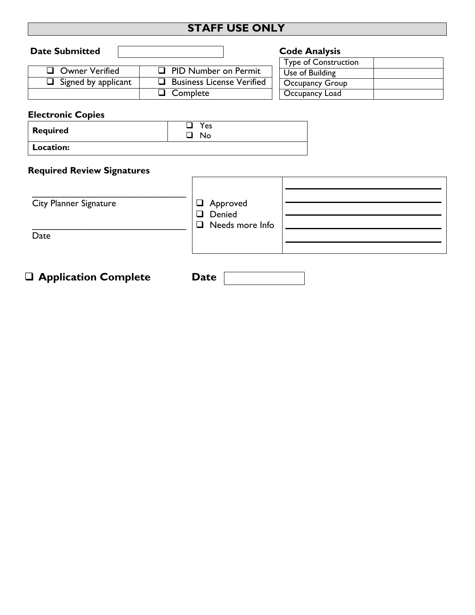# **STAFF USE ONLY**

| <b>Date Submitted</b>      |                                  | <b>Code Analysis</b>        |
|----------------------------|----------------------------------|-----------------------------|
|                            |                                  | <b>Type of Construction</b> |
| Owner Verified             | $\Box$ PID Number on Permit      | Use of Building             |
| $\Box$ Signed by applicant | $\Box$ Business License Verified | <b>Occupancy Group</b>      |
|                            | Complete                         | Occupancy Load              |
|                            |                                  |                             |

### **Electronic Copies**

| <b>Required</b> | 'es<br>N٥ |
|-----------------|-----------|
| Location:       |           |

#### **Required Review Signatures**

| <b>City Planner Signature</b><br>Date | □ Approved<br>□ Denied<br>$\Box$ Needs more Info |  |
|---------------------------------------|--------------------------------------------------|--|
|                                       |                                                  |  |

**Application Complete Date**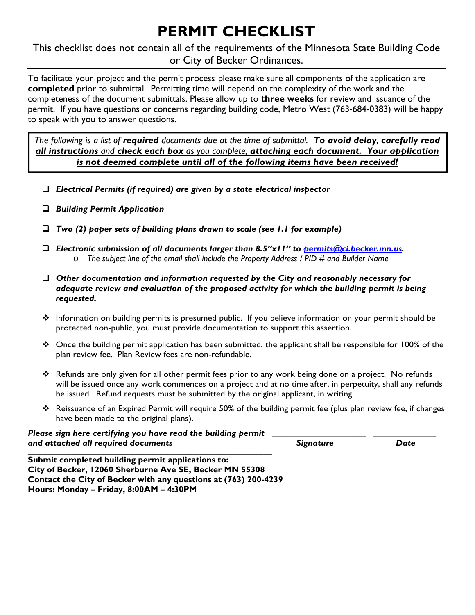# **PERMIT CHECKLIST**

This checklist does not contain all of the requirements of the Minnesota State Building Code or City of Becker Ordinances.

To facilitate your project and the permit process please make sure all components of the application are **completed** prior to submittal. Permitting time will depend on the complexity of the work and the completeness of the document submittals. Please allow up to **three weeks** for review and issuance of the permit. If you have questions or concerns regarding building code, Metro West (763-684-0383) will be happy to speak with you to answer questions.

*The following is a list of required documents due at the time of submittal. To avoid delay, carefully read all instructions and check each box as you complete, attaching each document. Your application is not deemed complete until all of the following items have been received!*

- *Electrical Permits (if required) are given by a state electrical inspector*
- *Building Permit Application*
- *Two (2) paper sets of building plans drawn to scale (see 1.1 for example)*
- *Electronic submission of all documents larger than 8.5"x11" to permits@ci.becker.mn.us.* o *The subject line of the email shall include the Property Address / PID # and Builder Name*
- *Other documentation and information requested by the City and reasonably necessary for adequate review and evaluation of the proposed activity for which the building permit is being requested.*
- ❖ Information on building permits is presumed public. If you believe information on your permit should be protected non-public, you must provide documentation to support this assertion.
- $\cdot \cdot$  Once the building permit application has been submitted, the applicant shall be responsible for 100% of the plan review fee. Plan Review fees are non-refundable.
- Refunds are only given for all other permit fees prior to any work being done on a project. No refunds will be issued once any work commences on a project and at no time after, in perpetuity, shall any refunds be issued. Refund requests must be submitted by the original applicant, in writing.
- $\cdot \cdot$  Reissuance of an Expired Permit will require 50% of the building permit fee (plus plan review fee, if changes have been made to the original plans).

| Please sign here certifying you have read the building permit |           |      |
|---------------------------------------------------------------|-----------|------|
| and attached all required documents                           | Signature | Date |
|                                                               |           |      |

**Submit completed building permit applications to: City of Becker, 12060 Sherburne Ave SE, Becker MN 55308 Contact the City of Becker with any questions at (763) 200-4239 Hours: Monday – Friday, 8:00AM – 4:30PM**